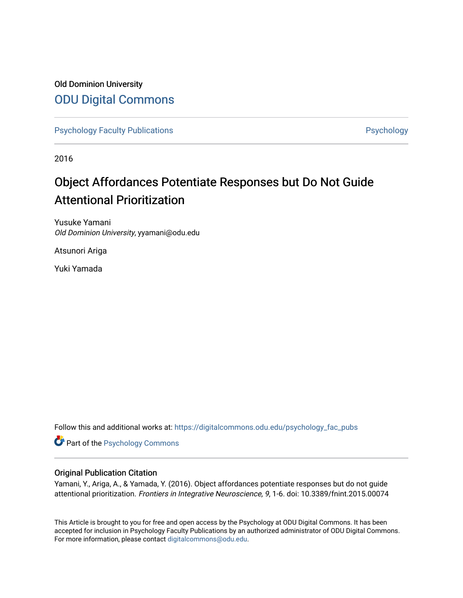## Old Dominion University [ODU Digital Commons](https://digitalcommons.odu.edu/)

[Psychology Faculty Publications](https://digitalcommons.odu.edu/psychology_fac_pubs) **Psychology** Psychology

2016

## Object Affordances Potentiate Responses but Do Not Guide Attentional Prioritization

Yusuke Yamani Old Dominion University, yyamani@odu.edu

Atsunori Ariga

Yuki Yamada

Follow this and additional works at: [https://digitalcommons.odu.edu/psychology\\_fac\\_pubs](https://digitalcommons.odu.edu/psychology_fac_pubs?utm_source=digitalcommons.odu.edu%2Fpsychology_fac_pubs%2F5&utm_medium=PDF&utm_campaign=PDFCoverPages)

Part of the [Psychology Commons](http://network.bepress.com/hgg/discipline/404?utm_source=digitalcommons.odu.edu%2Fpsychology_fac_pubs%2F5&utm_medium=PDF&utm_campaign=PDFCoverPages) 

#### Original Publication Citation

Yamani, Y., Ariga, A., & Yamada, Y. (2016). Object affordances potentiate responses but do not guide attentional prioritization. Frontiers in Integrative Neuroscience, 9, 1-6. doi: 10.3389/fnint.2015.00074

This Article is brought to you for free and open access by the Psychology at ODU Digital Commons. It has been accepted for inclusion in Psychology Faculty Publications by an authorized administrator of ODU Digital Commons. For more information, please contact [digitalcommons@odu.edu](mailto:digitalcommons@odu.edu).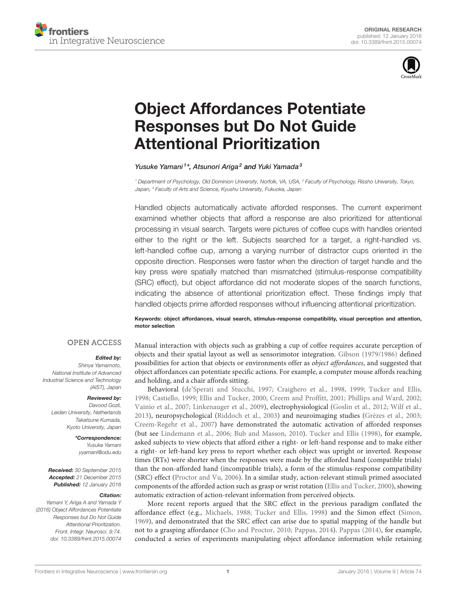



# [Object Affordances Potentiate](http://journal.frontiersin.org/article/10.3389/fnint.2015.00074/abstract) [Responses but Do Not Guide](http://journal.frontiersin.org/article/10.3389/fnint.2015.00074/abstract) [Attentional Prioritization](http://journal.frontiersin.org/article/10.3389/fnint.2015.00074/abstract)

[Yusuke Yamani](http://loop.frontiersin.org/people/278828/overview)<sup>1\*</sup>, [Atsunori Ariga](http://loop.frontiersin.org/people/176155/overview)<sup>2</sup> and [Yuki Yamada](http://loop.frontiersin.org/people/50443/overview)<sup>3</sup>

<sup>1</sup> Department of Psychology, Old Dominion University, Norfolk, VA, USA, <sup>2</sup> Faculty of Psychology, Rissho University, Tokyo, Japan, <sup>3</sup> Faculty of Arts and Science, Kyushu University, Fukuoka, Japan

Handled objects automatically activate afforded responses. The current experiment examined whether objects that afford a response are also prioritized for attentional processing in visual search. Targets were pictures of coffee cups with handles oriented either to the right or the left. Subjects searched for a target, a right-handled vs. left-handled coffee cup, among a varying number of distractor cups oriented in the opposite direction. Responses were faster when the direction of target handle and the key press were spatially matched than mismatched (stimulus-response compatibility (SRC) effect), but object affordance did not moderate slopes of the search functions, indicating the absence of attentional prioritization effect. These findings imply that handled objects prime afforded responses without influencing attentional prioritization.

Keywords: object affordances, visual search, stimulus-response compatibility, visual perception and attention, motor selection

#### **OPEN ACCESS**

#### Edited by:

Shinya Yamamoto, National Institute of Advanced Industrial Science and Technology (AIST), Japan

#### Reviewed by:

Davood Gozli, Leiden University, Netherlands Takatsune Kumada, Kyoto University, Japan

#### \*Correspondence:

Yusuke Yamani [yyamani@odu.edu](mailto:yyamani@odu.edu)

Received: 30 September 2015 Accepted: 21 December 2015 Published: 12 January 2016

#### Citation:

Yamani Y, Ariga A and Yamada Y (2016) Object Affordances Potentiate Responses but Do Not Guide Attentional Prioritization. Front. Integr. Neurosci. 9:74. [doi: 10.3389/fnint.2015.00074](http://dx.doi.org/10.3389/fnint.2015.00074) Manual interaction with objects such as grabbing a cup of coffee requires accurate perception of objects and their spatial layout as well as sensorimotor integration. [Gibson](#page-5-0) [\(1979/1986\)](#page-5-0) defined possibilities for action that objects or environments offer as object affordances, and suggested that object affordances can potentiate specific actions. For example, a computer mouse affords reaching and holding, and a chair affords sitting.

Behavioral [\(de'Sperati and Stucchi, 1997;](#page-5-1) [Craighero et al., 1998,](#page-5-2) [1999;](#page-5-3) [Tucker and Ellis,](#page-6-0) [1998;](#page-6-0) [Castiello, 1999;](#page-5-4) [Ellis and Tucker, 2000;](#page-5-5) [Creem and Proffitt, 2001;](#page-5-6) [Phillips and Ward, 2002;](#page-6-1) [Vainio et al., 2007;](#page-6-2) [Linkenauger et al., 2009\)](#page-6-3), electrophysiological [\(Goslin et al., 2012;](#page-5-7) [Wilf et al.,](#page-6-4) [2013\)](#page-6-4), neuropsychological [\(Riddoch et al., 2003\)](#page-6-5) and neuroimaging studies [\(Grèzes et al., 2003;](#page-5-8) [Creem-Regehr et al., 2007\)](#page-5-9) have demonstrated the automatic activation of afforded responses (but see [Lindemann et al., 2006;](#page-6-6) [Bub and Masson, 2010\)](#page-5-10). [Tucker and Ellis](#page-6-0) [\(1998\)](#page-6-0), for example, asked subjects to view objects that afford either a right- or left-hand response and to make either a right- or left-hand key press to report whether each object was upright or inverted. Response times (RTs) were shorter when the responses were made by the afforded hand (compatible trials) than the non-afforded hand (incompatible trials), a form of the stimulus-response compatibility (SRC) effect [\(Proctor and Vu, 2006\)](#page-6-7). In a similar study, action-relevant stimuli primed associated components of the afforded action such as grasp or wrist rotation [\(Ellis and Tucker, 2000\)](#page-5-5), showing automatic extraction of action-relevant information from perceived objects.

More recent reports argued that the SRC effect in the previous paradigm conflated the affordance effect (e.g., [Michaels, 1988;](#page-6-8) [Tucker and Ellis, 1998\)](#page-6-0) and the Simon effect [\(Simon,](#page-6-9) [1969\)](#page-6-9), and demonstrated that the SRC effect can arise due to spatial mapping of the handle but not to a grasping affordance [\(Cho and Proctor, 2010;](#page-5-11) [Pappas, 2014\)](#page-6-10). [Pappas](#page-6-10) [\(2014\)](#page-6-10), for example, conducted a series of experiments manipulating object affordance information while retaining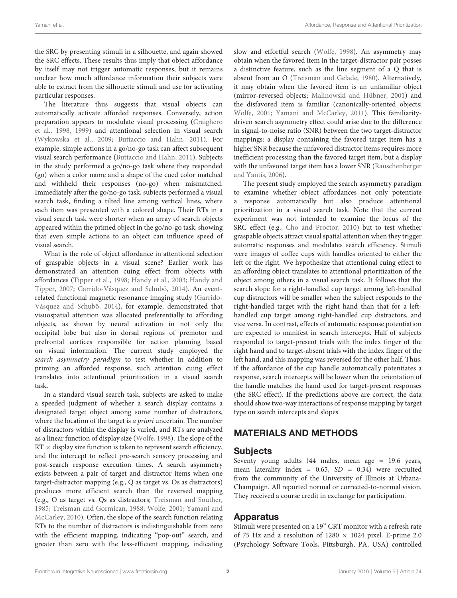the SRC by presenting stimuli in a silhouette, and again showed the SRC effects. These results thus imply that object affordance by itself may not trigger automatic responses, but it remains unclear how much affordance information their subjects were able to extract from the silhouette stimuli and use for activating particular responses.

The literature thus suggests that visual objects can automatically activate afforded responses. Conversely, action preparation appears to modulate visual processing [\(Craighero](#page-5-2) [et al.,](#page-5-2) [1998,](#page-5-2) [1999\)](#page-5-3) and attentional selection in visual search [\(Wykowska et al.,](#page-6-11) [2009;](#page-6-11) [Buttaccio and Hahn,](#page-5-12) [2011\)](#page-5-12). For example, simple actions in a go/no-go task can affect subsequent visual search performance [\(Buttaccio and Hahn,](#page-5-12) [2011\)](#page-5-12). Subjects in the study performed a go/no-go task where they responded (go) when a color name and a shape of the cued color matched and withheld their responses (no-go) when mismatched. Immediately after the go/no-go task, subjects performed a visual search task, finding a tilted line among vertical lines, where each item was presented with a colored shape. Their RTs in a visual search task were shorter when an array of search objects appeared within the primed object in the go/no-go task, showing that even simple actions to an object can influence speed of visual search.

What is the role of object affordance in attentional selection of graspable objects in a visual scene? Earlier work has demonstrated an attention cuing effect from objects with affordances [\(Tipper et al.,](#page-6-12) [1998;](#page-6-12) [Handy et al.,](#page-6-13) [2003;](#page-6-13) [Handy and](#page-6-14) [Tipper,](#page-6-14) [2007;](#page-6-14) [Garrido-Vásquez and Schubö,](#page-5-13) [2014\)](#page-5-13). An eventrelated functional magnetic resonance imaging study [\(Garrido-](#page-5-13)[Vásquez and Schubö,](#page-5-13) [2014\)](#page-5-13), for example, demonstrated that visuospatial attention was allocated preferentially to affording objects, as shown by neural activation in not only the occipital lobe but also in dorsal regions of premotor and prefrontal cortices responsible for action planning based on visual information. The current study employed the search asymmetry paradigm to test whether in addition to priming an afforded response, such attention cuing effect translates into attentional prioritization in a visual search task.

In a standard visual search task, subjects are asked to make a speeded judgment of whether a search display contains a designated target object among some number of distractors, where the location of the target is a priori uncertain. The number of distractors within the display is varied, and RTs are analyzed as a linear function of display size [\(Wolfe,](#page-6-15) [1998\)](#page-6-15). The slope of the  $RT \times$  display size function is taken to represent search efficiency, and the intercept to reflect pre-search sensory processing and post-search response execution times. A search asymmetry exists between a pair of target and distractor items when one target-distractor mapping (e.g., Q as target vs. Os as distractors) produces more efficient search than the reversed mapping (e.g., O as target vs. Qs as distractors; [Treisman and Souther,](#page-6-16) [1985;](#page-6-16) [Treisman and Gormican,](#page-6-17) [1988;](#page-6-17) [Wolfe,](#page-6-18) [2001;](#page-6-18) [Yamani and](#page-6-19) [McCarley,](#page-6-19) [2010\)](#page-6-19). Often, the slope of the search function relating RTs to the number of distractors is indistinguishable from zero with the efficient mapping, indicating "pop-out" search, and greater than zero with the less-efficient mapping, indicating

slow and effortful search [\(Wolfe,](#page-6-15) [1998\)](#page-6-15). An asymmetry may obtain when the favored item in the target-distractor pair posses a distinctive feature, such as the line segment of a Q that is absent from an O [\(Treisman and Gelade,](#page-6-20) [1980\)](#page-6-20). Alternatively, it may obtain when the favored item is an unfamiliar object (mirror-reversed objects; [Malinowski and Hübner,](#page-6-21) [2001\)](#page-6-21) and the disfavored item is familiar (canonically-oriented objects; [Wolfe,](#page-6-18) [2001;](#page-6-18) [Yamani and McCarley,](#page-6-22) [2011\)](#page-6-22). This familiaritydriven search asymmetry effect could arise due to the difference in signal-to-noise ratio (SNR) between the two target-distractor mappings: a display containing the favored target item has a higher SNR because the unfavored distractor items requires more inefficient processing than the favored target item, but a display with the unfavored target item has a lower SNR [\(Rauschenberger](#page-6-23) [and Yantis,](#page-6-23) [2006\)](#page-6-23).

The present study employed the search asymmetry paradigm to examine whether object affordances not only potentiate a response automatically but also produce attentional prioritization in a visual search task. Note that the current experiment was not intended to examine the locus of the SRC effect (e.g., [Cho and Proctor,](#page-5-11) [2010\)](#page-5-11) but to test whether graspable objects attract visual spatial attention when they trigger automatic responses and modulates search efficiency. Stimuli were images of coffee cups with handles oriented to either the left or the right. We hypothesize that attentional cuing effect to an affording object translates to attentional prioritization of the object among others in a visual search task. It follows that the search slope for a right-handled cup target among left-handled cup distractors will be smaller when the subject responds to the right-handled target with the right hand than that for a lefthandled cup target among right-handled cup distractors, and vice versa. In contrast, effects of automatic response potentiation are expected to manifest in search intercepts. Half of subjects responded to target-present trials with the index finger of the right hand and to target-absent trials with the index finger of the left hand, and this mapping was reversed for the other half. Thus, if the affordance of the cup handle automatically potentiates a response, search intercepts will be lower when the orientation of the handle matches the hand used for target-present responses (the SRC effect). If the predictions above are correct, the data should show two-way interactions of response mapping by target type on search intercepts and slopes.

## MATERIALS AND METHODS

#### **Subjects**

Seventy young adults (44 males, mean age = 19.6 years, mean laterality index =  $0.65$ ,  $SD = 0.34$ ) were recruited from the community of the University of Illinois at Urbana-Champaign. All reported normal or corrected-to-normal vision. They received a course credit in exchange for participation.

#### Apparatus

Stimuli were presented on a 19'' CRT monitor with a refresh rate of 75 Hz and a resolution of  $1280 \times 1024$  pixel. E-prime 2.0 (Psychology Software Tools, Pittsburgh, PA, USA) controlled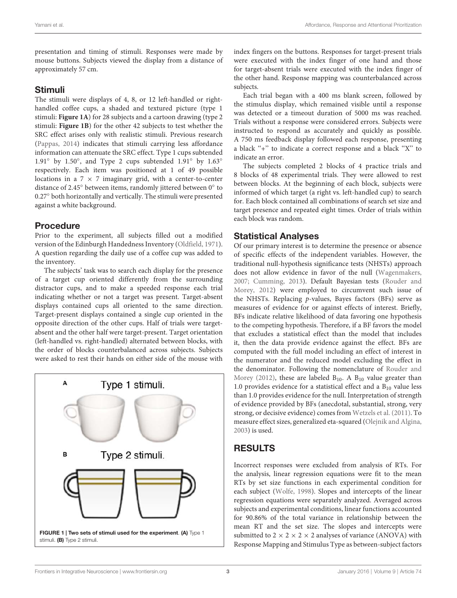presentation and timing of stimuli. Responses were made by mouse buttons. Subjects viewed the display from a distance of approximately 57 cm.

#### Stimuli

The stimuli were displays of 4, 8, or 12 left-handled or righthandled coffee cups, a shaded and textured picture (type 1 stimuli: **[Figure 1A](#page-3-0)**) for 28 subjects and a cartoon drawing (type 2 stimuli: **[Figure 1B](#page-3-0)**) for the other 42 subjects to test whether the SRC effect arises only with realistic stimuli. Previous research [\(Pappas,](#page-6-10) [2014\)](#page-6-10) indicates that stimuli carrying less affordance information can attenuate the SRC effect. Type 1 cups subtended 1.91◦ by 1.50◦ , and Type 2 cups subtended 1.91◦ by 1.63◦ respectively. Each item was positioned at 1 of 49 possible locations in a  $7 \times 7$  imaginary grid, with a center-to-center distance of 2.45◦ between items, randomly jittered between 0◦ to 0.27◦ both horizontally and vertically. The stimuli were presented against a white background.

## **Procedure**

Prior to the experiment, all subjects filled out a modified version of the Edinburgh Handedness Inventory [\(Oldfield,](#page-6-24) [1971\)](#page-6-24). A question regarding the daily use of a coffee cup was added to the inventory.

The subjects' task was to search each display for the presence of a target cup oriented differently from the surrounding distractor cups, and to make a speeded response each trial indicating whether or not a target was present. Target-absent displays contained cups all oriented to the same direction. Target-present displays contained a single cup oriented in the opposite direction of the other cups. Half of trials were targetabsent and the other half were target-present. Target orientation (left-handled vs. right-handled) alternated between blocks, with the order of blocks counterbalanced across subjects. Subjects were asked to rest their hands on either side of the mouse with

<span id="page-3-0"></span>

index fingers on the buttons. Responses for target-present trials were executed with the index finger of one hand and those for target-absent trials were executed with the index finger of the other hand. Response mapping was counterbalanced across subjects.

Each trial began with a 400 ms blank screen, followed by the stimulus display, which remained visible until a response was detected or a timeout duration of 5000 ms was reached. Trials without a response were considered errors. Subjects were instructed to respond as accurately and quickly as possible. A 750 ms feedback display followed each response, presenting a black ''+'' to indicate a correct response and a black ''X'' to indicate an error.

The subjects completed 2 blocks of 4 practice trials and 8 blocks of 48 experimental trials. They were allowed to rest between blocks. At the beginning of each block, subjects were informed of which target (a right vs. left-handled cup) to search for. Each block contained all combinations of search set size and target presence and repeated eight times. Order of trials within each block was random.

## Statistical Analyses

Of our primary interest is to determine the presence or absence of specific effects of the independent variables. However, the traditional null-hypothesis significance tests (NHSTs) approach does not allow evidence in favor of the null [\(Wagenmakers,](#page-6-25) [2007;](#page-6-25) [Cumming,](#page-5-14) [2013\)](#page-5-14). Default Bayesian tests [\(Rouder and](#page-6-26) [Morey,](#page-6-26) [2012\)](#page-6-26) were employed to circumvent such issue of the NHSTs. Replacing p-values, Bayes factors (BFs) serve as measures of evidence for or against effects of interest. Briefly, BFs indicate relative likelihood of data favoring one hypothesis to the competing hypothesis. Therefore, if a BF favors the model that excludes a statistical effect than the model that includes it, then the data provide evidence against the effect. BFs are computed with the full model including an effect of interest in the numerator and the reduced model excluding the effect in the denominator. Following the nomenclature of [Rouder and](#page-6-26) [Morey](#page-6-26) [\(2012\)](#page-6-26), these are labeled  $B_{10}$ . A  $B_{10}$  value greater than 1.0 provides evidence for a statistical effect and a  $B_{10}$  value less than 1.0 provides evidence for the null. Interpretation of strength of evidence provided by BFs (anecdotal, substantial, strong, very strong, or decisive evidence) comes from [Wetzels et al.](#page-6-27) [\(2011\)](#page-6-27). To measure effect sizes, generalized eta-squared [\(Olejnik and Algina,](#page-6-28) [2003\)](#page-6-28) is used.

## RESULTS

Incorrect responses were excluded from analysis of RTs. For the analysis, linear regression equations were fit to the mean RTs by set size functions in each experimental condition for each subject [\(Wolfe,](#page-6-15) [1998\)](#page-6-15). Slopes and intercepts of the linear regression equations were separately analyzed. Averaged across subjects and experimental conditions, linear functions accounted for 90.86% of the total variance in relationship between the mean RT and the set size. The slopes and intercepts were submitted to  $2 \times 2 \times 2 \times 2$  analyses of variance (ANOVA) with Response Mapping and Stimulus Type as between-subject factors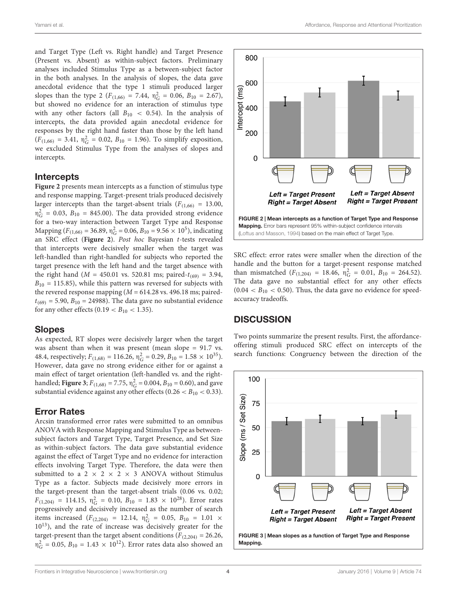and Target Type (Left vs. Right handle) and Target Presence (Present vs. Absent) as within-subject factors. Preliminary analyses included Stimulus Type as a between-subject factor in the both analyses. In the analysis of slopes, the data gave anecdotal evidence that the type 1 stimuli produced larger slopes than the type 2 ( $F_{(1,66)} = 7.44$ ,  $\eta_G^2 = 0.06$ ,  $B_{10} = 2.67$ ), but showed no evidence for an interaction of stimulus type with any other factors (all  $B_{10} < 0.54$ ). In the analysis of intercepts, the data provided again anecdotal evidence for responses by the right hand faster than those by the left hand  $(F_{(1,66)} = 3.41, \eta_G^2 = 0.02, B_{10} = 1.96)$ . To simplify exposition, we excluded Stimulus Type from the analyses of slopes and intercepts.

#### Intercepts

**[Figure 2](#page-4-0)** presents mean intercepts as a function of stimulus type and response mapping. Target-present trials produced decisively larger intercepts than the target-absent trials ( $F_{(1,66)} = 13.00$ ,  $\eta_G^2 = 0.03$ ,  $B_{10} = 845.00$ ). The data provided strong evidence for a two-way interaction between Target Type and Response Mapping ( $F_{(1,66)} = 36.89$ ,  $\eta_G^2 = 0.06$ ,  $B_{10} = 9.56 \times 10^5$ ), indicating an SRC effect (**[Figure 2](#page-4-0)**). Post hoc Bayesian t-tests revealed that intercepts were decisively smaller when the target was left-handled than right-handled for subjects who reported the target presence with the left hand and the target absence with the right hand ( $M = 450.01$  vs. 520.81 ms; paired- $t_{(69)} = 3.94$ ,  $B_{10} = 115.85$ ), while this pattern was reversed for subjects with the revered response mapping ( $M = 614.28$  vs. 496.18 ms; paired $t_{(69)}$  = 5.90,  $B_{10}$  = 24988). The data gave no substantial evidence for any other effects (0.19  $< B_{10} < 1.35$ ).

#### Slopes

As expected, RT slopes were decisively larger when the target was absent than when it was present (mean slope = 91.7 vs. 48.4, respectively;  $F_{(1,68)} = 116.26$ ,  $\eta_G^2 = 0.29$ ,  $B_{10} = 1.58 \times 10^{35}$ ). However, data gave no strong evidence either for or against a main effect of target orientation (left-handled vs. and the righthandled; **[Figure 3](#page-4-1)**;  $F_{(1,68)} = 7.75$ ,  $\eta_G^2 = 0.004$ ,  $B_{10} = 0.60$ ), and gave substantial evidence against any other effects (0.26  $<$  B<sub>10</sub>  $<$  0.33).

#### Error Rates

Arcsin transformed error rates were submitted to an omnibus ANOVA with Response Mapping and Stimulus Type as betweensubject factors and Target Type, Target Presence, and Set Size as within-subject factors. The data gave substantial evidence against the effect of Target Type and no evidence for interaction effects involving Target Type. Therefore, the data were then submitted to a 2  $\times$  2  $\times$  2  $\times$  3 ANOVA without Stimulus Type as a factor. Subjects made decisively more errors in the target-present than the target-absent trials (0.06 vs. 0.02;  $F_{(1,204)} = 114.15$ ,  $\eta_G^2 = 0.10$ ,  $B_{10} = 1.83 \times 10^{28}$ ). Error rates progressively and decisively increased as the number of search items increased  $(F_{(2,204)} = 12.14, \eta_G^2 = 0.05, B_{10} = 1.01 \times$ 10<sup>13</sup>), and the rate of increase was decisively greater for the target-present than the target absent conditions ( $F_{(2,204)} = 26.26$ ,  $\eta_G^2 = 0.05, B_{10} = 1.43 \times 10^{12}$ ). Error rates data also showed an



<span id="page-4-0"></span>SRC effect: error rates were smaller when the direction of the handle and the button for a target-present response matched than mismatched ( $F_{(1,204)} = 18.46$ ,  $\eta_G^2 = 0.01$ ,  $B_{10} = 264.52$ ). The data gave no substantial effect for any other effects  $(0.04 < B_{10} < 0.50)$ . Thus, the data gave no evidence for speedaccuracy tradeoffs.

#### **DISCUSSION**

Two points summarize the present results. First, the affordanceoffering stimuli produced SRC effect on intercepts of the search functions: Congruency between the direction of the

<span id="page-4-1"></span>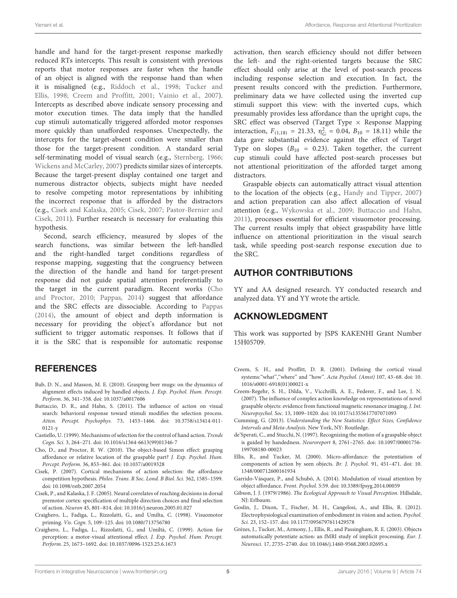handle and hand for the target-present response markedly reduced RTs intercepts. This result is consistent with previous reports that motor responses are faster when the handle of an object is aligned with the response hand than when it is misaligned (e.g., [Riddoch et al.,](#page-6-30) [1998;](#page-6-30) [Tucker and](#page-6-0) [Ellis,](#page-6-0) [1998;](#page-6-0) [Creem and Proffitt,](#page-5-6) [2001;](#page-5-6) [Vainio et al.,](#page-6-2) [2007\)](#page-6-2). Intercepts as described above indicate sensory processing and motor execution times. The data imply that the handled cup stimuli automatically triggered afforded motor responses more quickly than unafforded responses. Unexpectedly, the intercepts for the target-absent condition were smaller than those for the target-present condition. A standard serial self-terminating model of visual search (e.g., [Sternberg,](#page-6-31) [1966;](#page-6-31) [Wickens and McCarley,](#page-6-32) [2007\)](#page-6-32) predicts similar sizes of intercepts. Because the target-present display contained one target and numerous distractor objects, subjects might have needed to resolve competing motor representations by inhibiting the incorrect response that is afforded by the distractors (e.g., [Cisek and Kalaska,](#page-5-15) [2005;](#page-5-15) [Cisek,](#page-5-16) [2007;](#page-5-16) [Pastor-Bernier and](#page-6-33) [Cisek,](#page-6-33) [2011\)](#page-6-33). Further research is necessary for evaluating this hypothesis.

Second, search efficiency, measured by slopes of the search functions, was similar between the left-handled and the right-handled target conditions regardless of response mapping, suggesting that the congruency between the direction of the handle and hand for target-present response did not guide spatial attention preferentially to the target in the current paradigm. Recent works [\(Cho](#page-5-11) [and Proctor,](#page-5-11) [2010;](#page-5-11) [Pappas,](#page-6-10) [2014\)](#page-6-10) suggest that affordance and the SRC effects are dissociable. According to [Pappas](#page-6-10) [\(2014\)](#page-6-10), the amount of object and depth information is necessary for providing the object's affordance but not sufficient to trigger automatic responses. It follows that if it is the SRC that is responsible for automatic response

**REFERENCES** 

- <span id="page-5-10"></span>Bub, D. N., and Masson, M. E. (2010). Grasping beer mugs: on the dynamics of alignment effects induced by handled objects. J. Exp. Psychol. Hum. Percept. Perform. 36, 341–358. doi: 10.1037/a0017606
- <span id="page-5-12"></span>Buttaccio, D. R., and Hahn, S. (2011). The influence of action on visual search: behavioral response toward stimuli modifies the selection process. Atten. Percept. Psychophys. 73, 1453–1466. doi: 10.3758/s13414-011- 0121-y
- <span id="page-5-4"></span>Castiello, U. (1999). Mechanisms of selection for the control of hand action. Trends Cogn. Sci. 3, 264–271. doi: 10.1016/s1364-6613(99)01346-7
- <span id="page-5-11"></span>Cho, D., and Proctor, R. W. (2010). The object-based Simon effect: grasping affordance or relative location of the graspable part? J. Exp. Psychol. Hum. Percept. Perform. 36, 853–861. doi: 10.1037/a0019328
- <span id="page-5-16"></span>Cisek, P. (2007). Cortical mechanisms of action selection: the affordance competition hypothesis. Philos. Trans. R Soc. Lond. B Biol. Sci. 362, 1585–1599. doi: 10.1098/rstb.2007.2054
- <span id="page-5-15"></span>Cisek, P., and Kalaska, J. F. (2005). Neural correlates of reaching decisions in dorsal premotor cortex: specification of multiple direction choices and final selection of action. Neuron 45, 801–814. doi: 10.1016/j.neuron.2005.01.027
- <span id="page-5-2"></span>Craighero, L., Fadiga, L., Rizzolatti, G., and Umilta, C. (1998). Visuomotor priming. Vis. Cogn. 5, 109–125. doi: 10.1080/713756780
- <span id="page-5-3"></span>Craighero, L., Fadiga, L., Rizzolatti, G., and Umiltà, C. (1999). Action for perception: a motor-visual attentional effect. J. Exp. Psychol. Hum. Percept. Perform. 25, 1673–1692. doi: 10.1037/0096-1523.25.6.1673

activation, then search efficiency should not differ between the left- and the right-oriented targets because the SRC effect should only arise at the level of post-search process including response selection and execution. In fact, the present results concord with the prediction. Furthermore, preliminary data we have collected using the inverted cup stimuli support this view: with the inverted cups, which presumably provides less affordance than the upright cups, the SRC effect was observed (Target Type  $\times$  Response Mapping interaction,  $F_{(1,18)} = 21.33$ ,  $\eta_G^2 = 0.04$ ,  $B_{10} = 18.11$ ) while the data gave substantial evidence against the effect of Target Type on slopes ( $B_{10} = 0.23$ ). Taken together, the current cup stimuli could have affected post-search processes but not attentional prioritization of the afforded target among distractors.

Graspable objects can automatically attract visual attention to the location of the objects (e.g., [Handy and Tipper,](#page-6-14) [2007\)](#page-6-14) and action preparation can also affect allocation of visual attention (e.g., [Wykowska et al.,](#page-6-11) [2009;](#page-6-11) [Buttaccio and Hahn,](#page-5-12) [2011\)](#page-5-12), processes essential for efficient visuomotor processing. The current results imply that object graspability have little influence on attentional prioritization in the visual search task, while speeding post-search response execution due to the SRC.

#### AUTHOR CONTRIBUTIONS

YY and AA designed research. YY conducted research and analyzed data. YY and YY wrote the article.

## ACKNOWLEDGMENT

This work was supported by JSPS KAKENHI Grant Number 15H05709.

- <span id="page-5-6"></span>Creem, S. H., and Proffitt, D. R. (2001). Defining the cortical visual systems:"what","where" and "how". Acta Psychol. (Amst) 107, 43-68. doi: 10. 1016/s0001-6918(01)00021-x
- <span id="page-5-9"></span>Creem-Regehr, S. H., Dilda, V., Vicchrilli, A. E., Federer, F., and Lee, J. N. (2007). The influence of complex action knowledge on representations of novel graspable objects: evidence from functional magnetic resonance imaging. J. Int. Neuropsychol. Soc. 13, 1009–1020. doi: 10.1017/s1355617707071093
- <span id="page-5-14"></span>Cumming, G. (2013). Understanding the New Statistics: Effect Sizes, Confidence Intervals and Meta-Analysis. New York, NY: Routledge.
- <span id="page-5-1"></span>de'Sperati, C., and Stucchi, N. (1997). Recognizing the motion of a graspable object is guided by handedness. Neuroreport 8, 2761–2765. doi: 10.1097/00001756- 199708180-00023
- <span id="page-5-5"></span>Ellis, R., and Tucker, M. (2000). Micro-affordance: the potentiation of components of action by seen objects. Br. J. Psychol. 91, 451–471. doi: 10. 1348/000712600161934
- <span id="page-5-13"></span>Garrido-Vásquez, P., and Schubö, A. (2014). Modulation of visual attention by object affordance. Front. Psychol. 5:59. doi: 10.3389/fpsyg.2014.00059
- <span id="page-5-0"></span>Gibson, J. J. (1979/1986). The Ecological Approach to Visual Perception. Hillsdale, NJ: Erlbaum.
- <span id="page-5-7"></span>Goslin, J., Dixon, T., Fischer, M. H., Cangelosi, A., and Ellis, R. (2012). Electrophysiological examination of embodiment in vision and action. Psychol. Sci. 23, 152–157. doi: 10.1177/0956797611429578
- <span id="page-5-8"></span>Grèzes, J., Tucker, M., Armony, J., Ellis, R., and Passingham, R. E. (2003). Objects automatically potentiate action: an fMRI study of implicit processing. Eur. J. Neurosci. 17, 2735–2740. doi: 10.1046/j.1460-9568.2003.02695.x